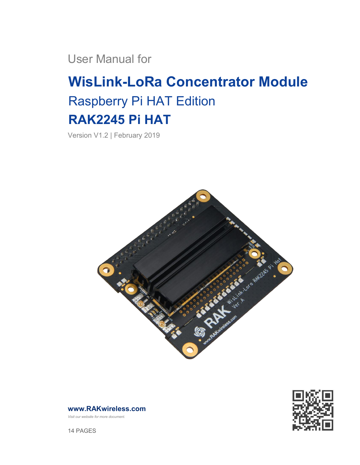User Manual for

# **WisLink-LoRa Concentrator Module** Raspberry Pi HAT Edition **RAK2245 Pi HAT**

Version V1.2 | February 2019





**[www.RAKwireless.com](https://www.rakwireless.com/en/download)**

*Visit our website for more document.*

14 PAGES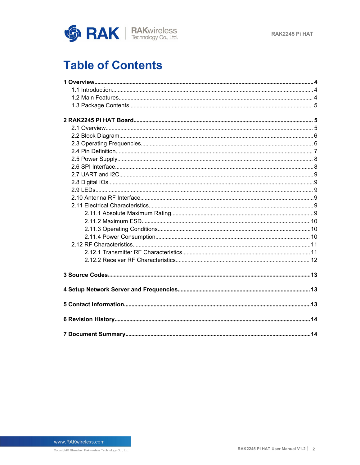

## **Table of Contents**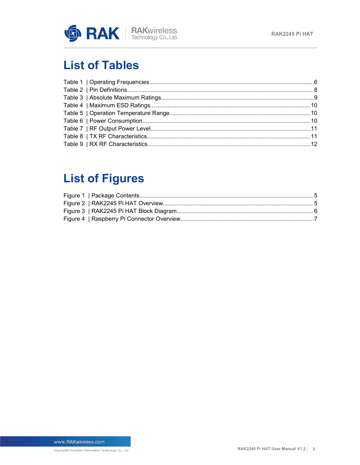

## **List of Tables**

## **List of Figures**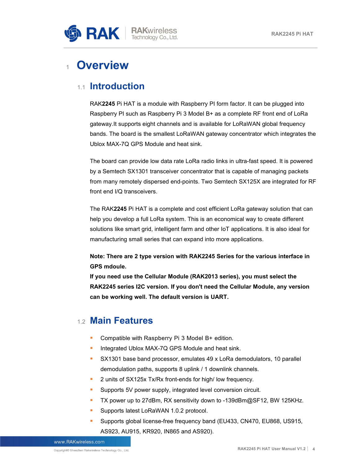

## <span id="page-3-0"></span><sup>1</sup> **Overview**

#### <span id="page-3-1"></span>1.1 **Introduction**

RAK**2245** Pi HAT is a module with Raspberry PI form factor. It can be plugged into Raspberry PI such as Raspberry Pi 3 Model B+ as a complete RF front end of LoRa gateway.It supports eight channels and is available for LoRaWAN global frequency bands. The board is the smallest LoRaWAN gateway concentrator which integrates the Ublox MAX-7Q GPS Module and heat sink.

The board can provide low data rate LoRa radio links in ultra-fast speed. It is powered by a Semtech SX1301 transceiver concentrator that is capable of managing packets from many remotely dispersed end-points. Two Semtech SX125X are integrated for RF front end I/Q transceivers.

The RAK**2245** Pi HAT is a complete and cost efficient LoRa gateway solution that can help you develop a full LoRa system. This is an economical way to create different solutions like smart grid, intelligent farm and other IoT applications. It is also ideal for manufacturing small series that can expand into more applications.

**Note: There are 2 type version with RAK2245 Series for the various interface in GPS mdoule.**

**If you need use the Cellular Module (RAK2013 series), you must select the RAK2245 series I2C version. If you don't need the Cellular Module, any version can be working well. The default version is UART.**

#### <span id="page-3-2"></span>1.2 **Main Features**

- Compatible with Raspberry Pi 3 Model B+ edition.
- **Integrated Ublox MAX-7Q GPS Module and heat sink.**
- SX1301 base band processor, emulates 49 x LoRa demodulators, 10 parallel demodulation paths, supports 8 uplink /1 downlink channels.
- **2** units of SX125x Tx/Rx front-ends for high/ low frequency.
- **Supports 5V power supply, integrated level conversion circuit.**
- TX power up to 27dBm, RX sensitivity down to -139dBm@SF12, BW 125KHz.
- **Supports latest LoRaWAN 1.0.2 protocol.**
- Supports global license-free frequency band (EU433, CN470, EU868, US915, AS923, AU915, KR920, IN865 and AS920).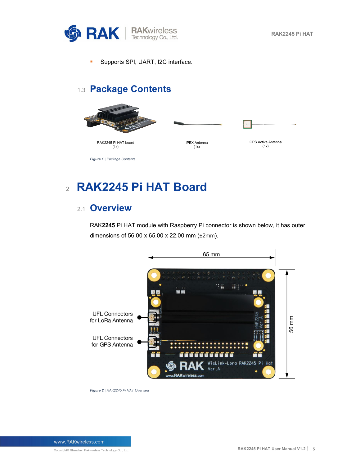

**Supports SPI, UART, I2C interface.** 

### <span id="page-4-0"></span>1.3 **Package Contents**



<span id="page-4-3"></span><span id="page-4-1"></span><sup>2</sup> **RAK2245 Pi HAT Board**

#### <span id="page-4-2"></span>2.1 **Overview**

RAK**2245** Pi HAT module with Raspberry Pi connector is shown below, it has outer dimensions of 56.00 x 65.00 x 22.00 mm (±2mm).



<span id="page-4-4"></span>*Figure 2 | RAK2245 Pi HAT Overview*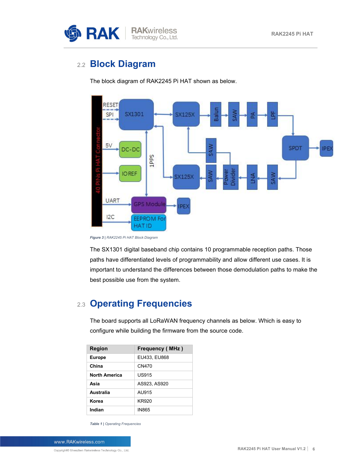

### <span id="page-5-0"></span>2.2 **Block Diagram**

The block diagram of RAK2245 Pi HAT shown as below.



<span id="page-5-3"></span>*Figure 3 | RAK2245 Pi HAT Block Diagram*

The SX1301 digital baseband chip contains 10 programmable reception paths. Those paths have differentiated levels of programmability and allow different use cases. It is important to understand the differences between those demodulation paths to make the best possible use from the system.

### <span id="page-5-1"></span>2.3 **Operating Frequencies**

The board supports all LoRaWAN frequency channels as below. Which is easy to configure while building the firmware from the source code.

| <b>Region</b>        | <b>Frequency (MHz)</b> |
|----------------------|------------------------|
| <b>Europe</b>        | EU433, EU868           |
| China                | CN470                  |
| <b>North America</b> | <b>US915</b>           |
| Asia                 | AS923, AS920           |
| Australia            | AU915                  |
| Korea                | <b>KR920</b>           |
| Indian               | <b>IN865</b>           |

<span id="page-5-2"></span>*Table 1 | Operating Frequencies*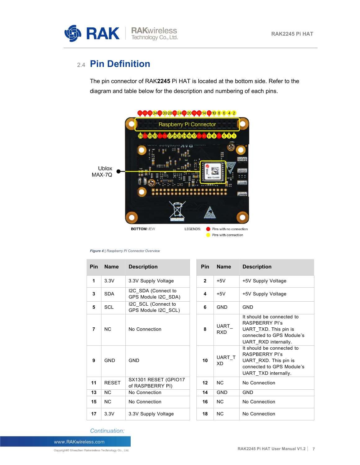

### <span id="page-6-0"></span>2.4 **Pin Definition**

The pin connector ofRAK**2245** Pi HAT is located at the bottom side. Refer to the diagram and table below for the description and numbering of each pins.



#### <span id="page-6-1"></span>*Figure 4 | Raspberry Pi Connector Overview*

| Pin            | <b>Name</b>  | <b>Description</b>                         | <b>Pin</b>   | <b>Name</b>         | <b>Description</b>                                                                                                               |
|----------------|--------------|--------------------------------------------|--------------|---------------------|----------------------------------------------------------------------------------------------------------------------------------|
| 1              | 3.3V         | 3.3V Supply Voltage                        | $\mathbf{2}$ | $+5V$               | +5V Supply Voltage                                                                                                               |
| 3              | <b>SDA</b>   | I2C SDA (Connect to<br>GPS Module I2C SDA) | 4            | $+5V$               | +5V Supply Voltage                                                                                                               |
| 5              | <b>SCL</b>   | I2C SCL (Connect to<br>GPS Module I2C_SCL) | 6            | <b>GND</b>          | <b>GND</b>                                                                                                                       |
| $\overline{7}$ | <b>NC</b>    | No Connection                              | 8            | UART<br><b>RXD</b>  | It should be connected to<br><b>RASPBERRY PI's</b><br>UART TXD. This pin is<br>connected to GPS Module's<br>UART RXD internally. |
| 9              | <b>GND</b>   | <b>GND</b>                                 | 10           | UART T<br><b>XD</b> | It should be connected to<br><b>RASPBERRY PI's</b><br>UART RXD. This pin is<br>connected to GPS Module's<br>UART TXD internally. |
| 11             | <b>RESET</b> | SX1301 RESET (GPIO17<br>of RASPBERRY PI)   | 12           | N <sub>C</sub>      | No Connection                                                                                                                    |
| 13             | <b>NC</b>    | No Connection                              | 14           | <b>GND</b>          | <b>GND</b>                                                                                                                       |
| 15             | <b>NC</b>    | No Connection                              | 16           | N <sub>C</sub>      | No Connection                                                                                                                    |
| 17             | 3.3V         | 3.3V Supply Voltage                        | 18           | <b>NC</b>           | No Connection                                                                                                                    |

*Continuation:*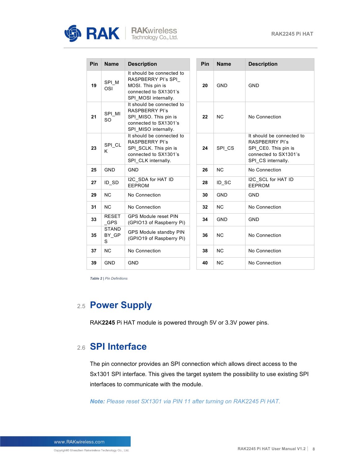

| <b>RAKwireless</b>   |  |
|----------------------|--|
| Technology Co., Ltd. |  |

| Pin | <b>Name</b>                 | <b>Description</b>                                                                                                           | Pin | <b>Name</b> | <b>Description</b>                                                                                                        |
|-----|-----------------------------|------------------------------------------------------------------------------------------------------------------------------|-----|-------------|---------------------------------------------------------------------------------------------------------------------------|
| 19  | SPI_M<br>OSI                | It should be connected to<br>RASPBERRY PI's SPI<br>MOSI. This pin is<br>connected to SX1301's<br>SPI MOSI internally.        | 20  | <b>GND</b>  | <b>GND</b>                                                                                                                |
| 21  | SPI MI<br>SO                | It should be connected to<br><b>RASPBERRY PI's</b><br>SPI_MISO. This pin is<br>connected to SX1301's<br>SPI MISO internally. | 22  | <b>NC</b>   | No Connection                                                                                                             |
| 23  | SPI_CL<br>K                 | It should be connected to<br><b>RASPBERRY PI's</b><br>SPI_SCLK. This pin is<br>connected to SX1301's<br>SPI CLK internally.  | 24  | SPI CS      | It should be connected to<br><b>RASPBERRY PI's</b><br>SPI_CE0. This pin is<br>connected to SX1301's<br>SPI CS internally. |
| 25  | <b>GND</b>                  | <b>GND</b>                                                                                                                   | 26  | <b>NC</b>   | No Connection                                                                                                             |
| 27  | ID SD                       | I2C SDA for HAT ID<br><b>EEPROM</b>                                                                                          | 28  | ID_SC       | I2C_SCL for HAT ID<br><b>EEPROM</b>                                                                                       |
| 29  | <b>NC</b>                   | No Connection                                                                                                                | 30  | <b>GND</b>  | <b>GND</b>                                                                                                                |
| 31  | <b>NC</b>                   | No Connection                                                                                                                | 32  | <b>NC</b>   | No Connection                                                                                                             |
| 33  | <b>RESET</b><br>$_C$ GPS    | <b>GPS Module reset PIN</b><br>(GPIO13 of Raspberry Pi)                                                                      | 34  | <b>GND</b>  | <b>GND</b>                                                                                                                |
| 35  | <b>STAND</b><br>BY GP<br>S. | GPS Module standby PIN<br>(GPIO19 of Raspberry Pi)                                                                           | 36  | <b>NC</b>   | No Connection                                                                                                             |
| 37  | <b>NC</b>                   | No Connection                                                                                                                | 38  | <b>NC</b>   | No Connection                                                                                                             |
| 39  | <b>GND</b>                  | <b>GND</b>                                                                                                                   | 40  | <b>NC</b>   | No Connection                                                                                                             |

<span id="page-7-2"></span>*Table 2 | Pin Definitions*

### <span id="page-7-0"></span>2.5 **Power Supply**

RAK**2245** Pi HAT module is powered through 5V or 3.3V power pins.

### <span id="page-7-1"></span>2.6 **SPI Interface**

The pin connector provides an SPI connection which allows direct access to the Sx1301 SPI interface. This gives the target system the possibility to use existing SPI interfaces to communicate with the module.

*Note: Please reset SX1301 via PIN 11 after turning on RAK2245 Pi HAT.*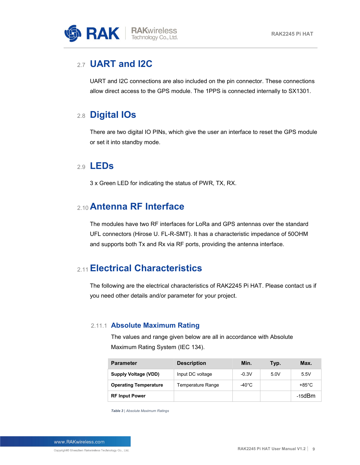

#### <span id="page-8-0"></span>2.7 **UART and I2C**

UART and I2C connections are also included on the pin connector. These connections allow direct access to the GPS module. The 1PPS is connected internally to SX1301.

### <span id="page-8-1"></span>2.8 **Digital IOs**

There are two digital IO PINs, which give the user an interface to reset the GPS module or set it into standby mode.

#### <span id="page-8-2"></span>2.9 **LEDs**

3 x Green LED for indicating the status of PWR, TX, RX.

### <span id="page-8-3"></span>2.10**Antenna RF Interface**

The modules have two RF interfaces for LoRa and GPS antennas over the standard UFL connectors (Hirose U. FL-R-SMT). It has a characteristic impedance of 50OHM and supports both Tx and Rx via RF ports, providing the antenna interface.

### <span id="page-8-4"></span>2.11**Electrical Characteristics**

The following are the electrical characteristics of RAK2245 Pi HAT. Please contact us if you need other details and/or parameter for your project.

#### 2.11.1 **Absolute Maximum Rating**

<span id="page-8-5"></span>The values and range given below are all in accordance with Absolute Maximum Rating System (IEC 134).

| <b>Parameter</b>             | <b>Description</b> | Min.    | Typ. | Max.             |
|------------------------------|--------------------|---------|------|------------------|
| <b>Supply Voltage (VDD)</b>  | Input DC voltage   | $-0.3V$ | 5.0V | 5.5V             |
| <b>Operating Temperature</b> | Temperature Range  | -40°C   |      | +85 $^{\circ}$ C |
| <b>RF Input Power</b>        |                    |         |      | $-15$ d $Bm$     |

<span id="page-8-6"></span>*Table 3 | Absolute Maximum Ratings*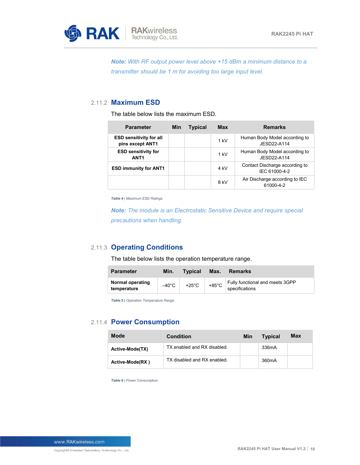

*Note: With RF output power level above +15 dBm a minimum distance to a transmitter should be 1 m for avoiding too large input level.*

#### 2.11.2 **Maximum ESD**

<span id="page-9-0"></span>The table below lists the maximum ESD.

| <b>Parameter</b>                                   | <b>Min</b> | <b>Typical</b> | <b>Max</b> | <b>Remarks</b>                                  |
|----------------------------------------------------|------------|----------------|------------|-------------------------------------------------|
| <b>ESD sensitivity for all</b><br>pins except ANT1 |            |                | $1$ kV     | Human Body Model according to<br>JESD22-A114    |
| <b>ESD sensitivity for</b><br>ANT <sub>1</sub>     |            |                | $1$ kV     | Human Body Model according to<br>JESD22-A114    |
| <b>ESD immunity for ANT1</b>                       |            |                | 4 kV       | Contact Discharge according to<br>IEC 61000-4-2 |
|                                                    |            |                | 8 kV       | Air Discharge according to IEC<br>61000-4-2     |

<span id="page-9-3"></span>*Table 4 | Maximum ESD Ratings*

*Note: The module isan Electrostatic Sensitive Device and require special precautions when handling.*

#### 2.11.3 **Operating Conditions**

<span id="page-9-1"></span>The table below lists the operation temperature range.

| <b>Parameter</b>                | Min.            | <b>Typical</b>  | Max.            | <b>Remarks</b>                                    |
|---------------------------------|-----------------|-----------------|-----------------|---------------------------------------------------|
| Normal operating<br>temperature | $-40^{\circ}$ C | $+25^{\circ}$ C | $+85^{\circ}$ C | Fully functional and meets 3GPP<br>specifications |

<span id="page-9-4"></span>*Table 5 | Operation Temperature Range*

#### 2.11.4 **Power Consumption**

<span id="page-9-5"></span><span id="page-9-2"></span>

| <b>Mode</b>                 | <b>Condition</b>            | Min | <b>Typical</b>     | Max |
|-----------------------------|-----------------------------|-----|--------------------|-----|
| Active-Mode(TX)             | TX enabled and RX disabled. |     | 336mA              |     |
| Active-Mode(RX)             | TX disabled and RX enabled. |     | 360 <sub>m</sub> A |     |
| Table 6   Power Consumption |                             |     |                    |     |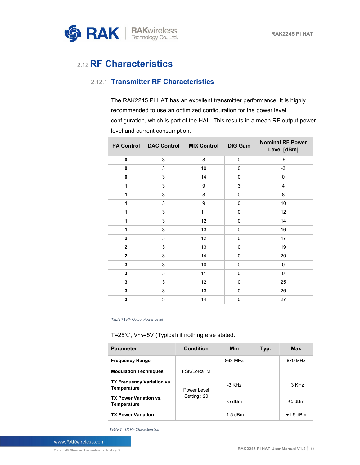

### <span id="page-10-0"></span>2.12**RF Characteristics**

#### 2.12.1 **Transmitter RF Characteristics**

<span id="page-10-1"></span>The RAK2245 Pi HAT has an excellent transmitter performance. It is highly recommended to use an optimized configuration for the power level configuration, which is part of the HAL. This results in a mean RF output power level and current consumption.

|              | PA Control DAC Control MIX Control |         | <b>DIG Gain</b> | <b>Nominal RF Power</b><br>Level [dBm] |
|--------------|------------------------------------|---------|-----------------|----------------------------------------|
| $\mathbf 0$  | 3                                  | 8       | $\pmb{0}$       | -6                                     |
| $\mathbf 0$  | 3                                  | $10\,$  | $\mathsf 0$     | $-3$                                   |
| $\mathbf 0$  | $\mathbf{3}$                       | 14      | $\pmb{0}$       | $\pmb{0}$                              |
| 1            | $\mathbf{3}$                       | 9       | $\mathbf{3}$    | 4                                      |
| 1            | $\mathfrak{S}$                     | $\bf 8$ | $\pmb{0}$       | 8                                      |
| 1            | 3                                  | 9       | $\mathsf 0$     | 10                                     |
| 1            | $\mathsf 3$                        | 11      | $\mathsf 0$     | 12                                     |
| 1            | $\mathsf 3$                        | 12      | $\mathsf 0$     | 14                                     |
| 1            | 3                                  | 13      | 0               | 16                                     |
| $\mathbf{2}$ | 3                                  | 12      | $\mathsf 0$     | 17                                     |
| $\mathbf{2}$ | $\mathfrak{S}$                     | 13      | $\pmb{0}$       | 19                                     |
| $\mathbf{2}$ | $\mathbf{3}$                       | 14      | $\mathsf 0$     | 20                                     |
| 3            | 3                                  | $10\,$  | 0               | 0                                      |
| 3            | 3                                  | 11      | 0               | 0                                      |
| 3            | 3                                  | 12      | 0               | 25                                     |
| 3            | $\mathsf 3$                        | 13      | $\pmb{0}$       | 26                                     |
| 3            | $\mathbf{3}$                       | 14      | $\pmb{0}$       | 27                                     |

<span id="page-10-2"></span>*Table 7 | RF Output Power Level*

#### T=25℃, V<sub>DD</sub>=5V (Typical) if nothing else stated.

| <b>Parameter</b>                             | <b>Condition</b>           | <b>Min</b> | Typ. | <b>Max</b> |
|----------------------------------------------|----------------------------|------------|------|------------|
| <b>Frequency Range</b>                       |                            | 863 MHz    |      | 870 MHz    |
| <b>Modulation Techniques</b>                 | FSK/LoRaTM                 |            |      |            |
| TX Frequency Variation vs.<br>Temperature    | Power Level<br>Setting: 20 | -3 KHz     |      | $+3$ KHz   |
| <b>TX Power Variation vs.</b><br>Temperature |                            | $-5$ dBm   |      | $+5$ dBm   |
| <b>TX Power Variation</b>                    |                            | $-1.5$ dBm |      | $+1.5$ dBm |

<span id="page-10-3"></span>*Table 8 | TX RF Characteristics*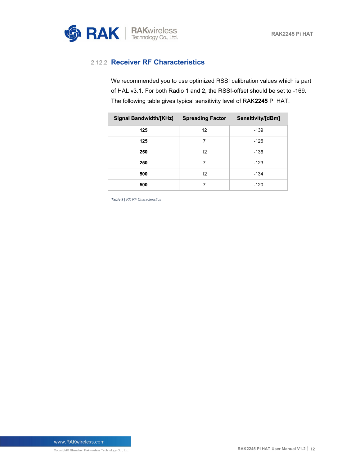

#### 2.12.2 **Receiver RF Characteristics**

<span id="page-11-0"></span>We recommended you to use optimized RSSI calibration values which is part of HAL v3.1. For both Radio 1 and 2, the RSSI-offset should be set to -169.<br>The following table gives typical sensitivity level of RAK2245 Pi HAT.

| <b>Signal Bandwidth/[KHz]</b> | <b>Spreading Factor</b> | Sensitivity/[dBm] |
|-------------------------------|-------------------------|-------------------|
| 125                           | 12                      | $-139$            |
| 125                           | 7                       | $-126$            |
| 250                           | 12                      | $-136$            |
| 250                           | 7                       | $-123$            |
| 500                           | 12                      | $-134$            |
| 500                           | 7                       | $-120$            |

<span id="page-11-1"></span>*Table 9 | RX RF Characteristics*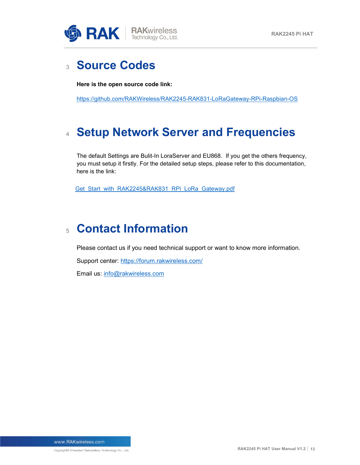

## <span id="page-12-0"></span><sup>3</sup> **Source Codes**

**Here is the open source code link:**

<https://github.com/RAKWireless/RAK2245-RAK831-LoRaGateway-RPi-Raspbian-OS>

## <span id="page-12-1"></span><sup>4</sup> **Setup Network Server and Frequencies**

The default Settings are Bulit-In LoraServer and EU868. If you get the others frequency, you must setup it firstly. For the detailed setup steps, please refer to this documentation, here is the link:

Get Start with\_RAK2245&RAK831\_RPi\_LoRa\_Gateway.pdf

## <span id="page-12-2"></span><sup>5</sup> **Contact Information**

Please contact us if you need technical support or want to know more information.

Support center: <https://forum.rakwireless.com/>

Email us: [info@rakwireless.com](mailto:info@rakwireless.com)